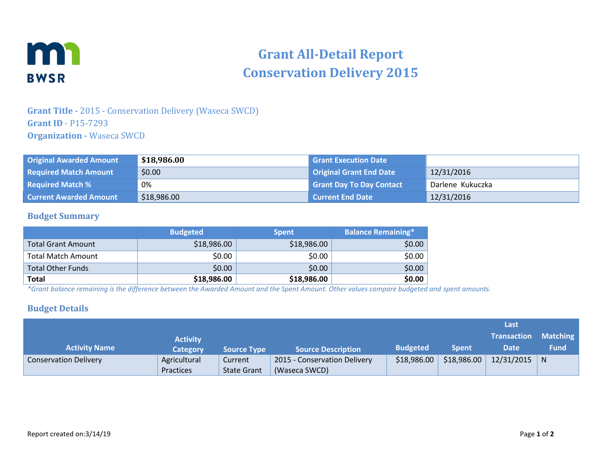

# **Grant All-Detail Report Conservation Delivery 2015**

## **Grant Title -** 2015 - Conservation Delivery (Waseca SWCD) **Grant ID** - P15-7293 **Organization -** Waseca SWCD

| <b>Original Awarded Amount</b> | \$18,986.00 | <b>Grant Execution Date</b>     |                  |
|--------------------------------|-------------|---------------------------------|------------------|
| <b>Required Match Amount</b>   | \$0.00      | <b>Original Grant End Date</b>  | 12/31/2016       |
| <b>Required Match %</b>        | 0%          | <b>Grant Day To Day Contact</b> | Darlene Kukuczka |
| <b>Current Awarded Amount</b>  | \$18,986.00 | <b>Current End Date</b>         | 12/31/2016       |

#### **Budget Summary**

|                           | <b>Budgeted</b> | <b>Spent</b> | <b>Balance Remaining*</b> |
|---------------------------|-----------------|--------------|---------------------------|
| <b>Total Grant Amount</b> | \$18,986.00     | \$18,986.00  | \$0.00                    |
| Total Match Amount        | \$0.00          | \$0.00       | \$0.00                    |
| Total Other Funds         | \$0.00          | \$0.00       | \$0.00                    |
| <b>Total</b>              | \$18,986.00     | \$18,986.00  | \$0.00                    |

*\*Grant balance remaining is the difference between the Awarded Amount and the Spent Amount. Other values compare budgeted and spent amounts.*

#### **Budget Details**

|                              |                 |                    |                              |                 |              | Last               |             |
|------------------------------|-----------------|--------------------|------------------------------|-----------------|--------------|--------------------|-------------|
|                              | <b>Activity</b> |                    |                              |                 |              | <b>Transaction</b> | Matching    |
| <b>Activity Name</b>         | <b>Category</b> | <b>Source Type</b> | <b>Source Description</b>    | <b>Budgeted</b> | <b>Spent</b> | Date               | <b>Fund</b> |
| <b>Conservation Delivery</b> | Agricultural    | Current            | 2015 - Conservation Delivery | \$18,986.00     | \$18,986.00  | $12/31/2015$ N     |             |
|                              | Practices       | <b>State Grant</b> | (Waseca SWCD)                |                 |              |                    |             |